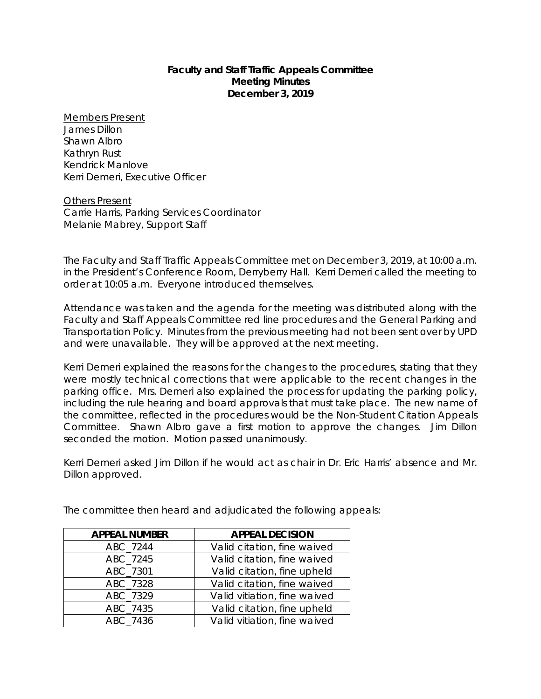## **Faculty and Staff Traffic Appeals Committee Meeting Minutes December 3, 2019**

Members Present James Dillon Shawn Albro Kathryn Rust Kendrick Manlove Kerri Demeri, Executive Officer

Others Present Carrie Harris, Parking Services Coordinator Melanie Mabrey, Support Staff

The Faculty and Staff Traffic Appeals Committee met on December 3, 2019, at 10:00 a.m. in the President's Conference Room, Derryberry Hall. Kerri Demeri called the meeting to order at 10:05 a.m. Everyone introduced themselves.

Attendance was taken and the agenda for the meeting was distributed along with the Faculty and Staff Appeals Committee red line procedures and the General Parking and Transportation Policy. Minutes from the previous meeting had not been sent over by UPD and were unavailable. They will be approved at the next meeting.

Kerri Demeri explained the reasons for the changes to the procedures, stating that they were mostly technical corrections that were applicable to the recent changes in the parking office. Mrs. Demeri also explained the process for updating the parking policy, including the rule hearing and board approvals that must take place. The new name of the committee, reflected in the procedures would be the Non-Student Citation Appeals Committee. Shawn Albro gave a first motion to approve the changes. Jim Dillon seconded the motion. Motion passed unanimously.

Kerri Demeri asked Jim Dillon if he would act as chair in Dr. Eric Harris' absence and Mr. Dillon approved.

| <b>APPEAL NUMBER</b> | <b>APPEAL DECISION</b>       |
|----------------------|------------------------------|
| ABC_7244             | Valid citation, fine waived  |
| ABC_7245             | Valid citation, fine waived  |
| ABC_7301             | Valid citation, fine upheld  |
| ABC 7328             | Valid citation, fine waived  |
| ABC 7329             | Valid vitiation, fine waived |
| ABC_7435             | Valid citation, fine upheld  |
| ABC 7436             | Valid vitiation, fine waived |

The committee then heard and adjudicated the following appeals: